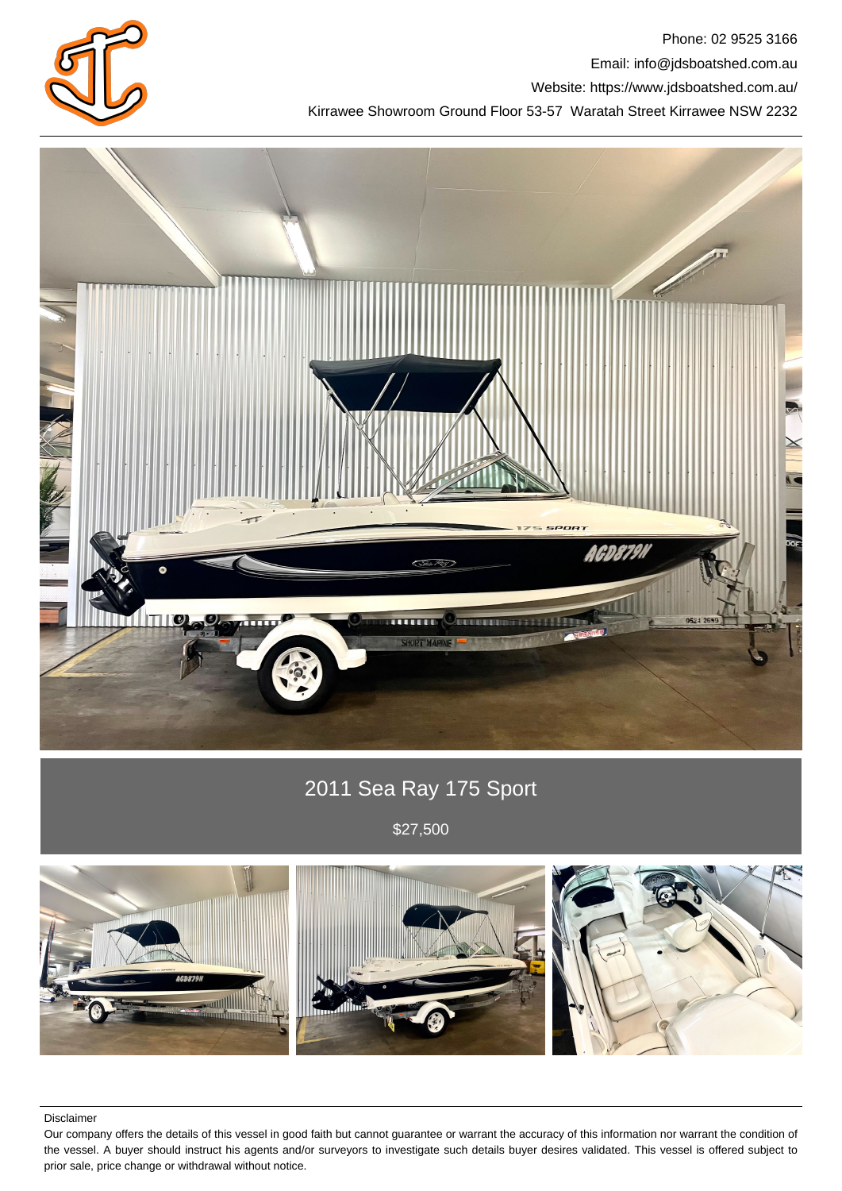

Phone: 02 9525 3166 Email: info@jdsboatshed.com.au Website: https://www.jdsboatshed.com.au/ Kirrawee Showroom Ground Floor 53-57 Waratah Street Kirrawee NSW 2232



# 2011 Sea Ray 175 Sport

\$27,500



Disclaimer

Our company offers the details of this vessel in good faith but cannot guarantee or warrant the accuracy of this information nor warrant the condition of the vessel. A buyer should instruct his agents and/or surveyors to investigate such details buyer desires validated. This vessel is offered subject to prior sale, price change or withdrawal without notice.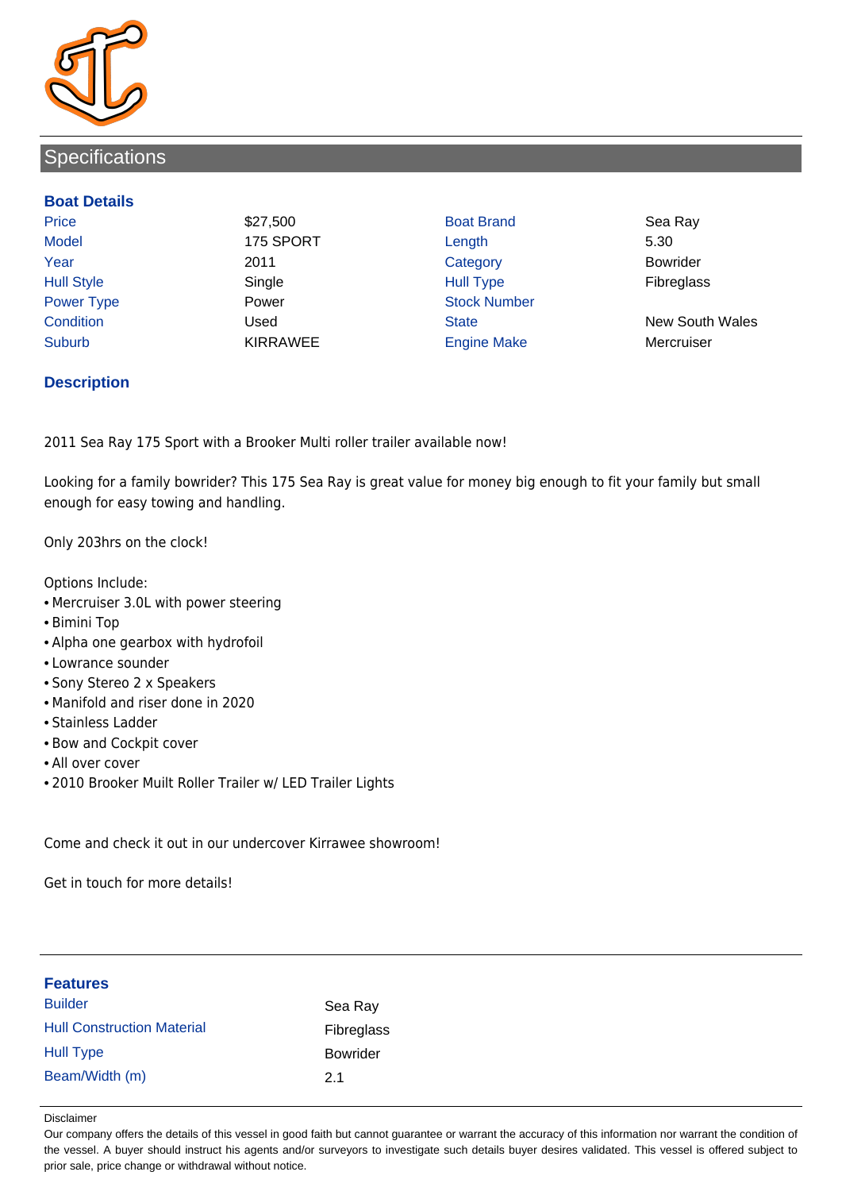

# **Specifications**

### **Boat Details**

Price \$27,500 Boat Brand Sea Ray Model 175 SPORT Length 5.30 Year 2011 Category Bowrider Hull Style Single Hull Type Fibreglass Power Type **Power Power** Power Stock Number Suburb **KIRRAWEE** Engine Make Mercruiser

Condition Used State New South Wales

### **Description**

2011 Sea Ray 175 Sport with a Brooker Multi roller trailer available now!

Looking for a family bowrider? This 175 Sea Ray is great value for money big enough to fit your family but small enough for easy towing and handling.

Only 203hrs on the clock!

Options Include:

- Mercruiser 3.0L with power steering
- Bimini Top
- Alpha one gearbox with hydrofoil
- Lowrance sounder
- Sony Stereo 2 x Speakers
- Manifold and riser done in 2020
- Stainless Ladder
- Bow and Cockpit cover
- All over cover
- 2010 Brooker Muilt Roller Trailer w/ LED Trailer Lights

Come and check it out in our undercover Kirrawee showroom!

Get in touch for more details!

| <b>Features</b>                   |                 |
|-----------------------------------|-----------------|
| <b>Builder</b>                    | Sea Ray         |
| <b>Hull Construction Material</b> | Fibreglass      |
| <b>Hull Type</b>                  | <b>Bowrider</b> |
| Beam/Width (m)                    | 2.1             |

#### Disclaimer

Our company offers the details of this vessel in good faith but cannot guarantee or warrant the accuracy of this information nor warrant the condition of the vessel. A buyer should instruct his agents and/or surveyors to investigate such details buyer desires validated. This vessel is offered subject to prior sale, price change or withdrawal without notice.